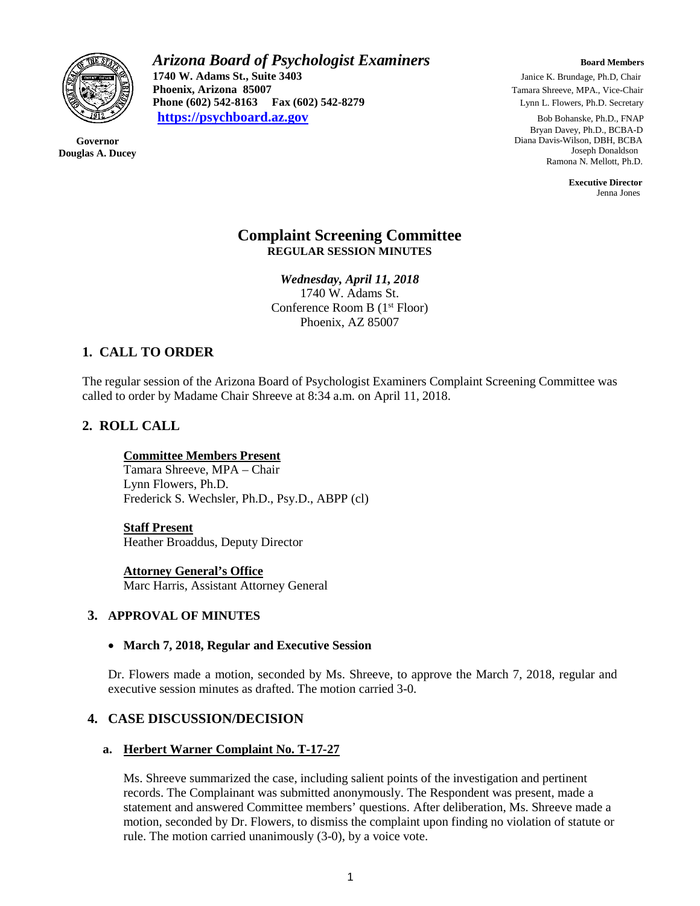

**Governor Douglas A. Ducey** *Arizona Board of Psychologist Examiners Board Members* **1740 W. Adams St., Suite 3403** Janice K. Brundage, Ph.D, Chair<br> **1740 W. Adams St., Suite 3403** Janice K. Brundage, Ph.D, Chair<br>
Tamara Shreeve, MPA., Vice-Chair **Phoenix, Arizona 85007 Tamara Shreeve, MPA., Vice-Chair Phone (602) 542-8163 Fax (602) 542-8279 Lynn L. Flowers, Ph.D. Secretary [https://psychboard.az.gov](https://psychboard.az.gov/)** Bob Bohanske, Ph.D., FNAP

 Bryan Davey, Ph.D., BCBA-D Diana Davis-Wilson, DBH, BCBA Joseph Donaldson Ramona N. Mellott, Ph.D.

 **Executive Director** Jenna Jones

## **Complaint Screening Committee REGULAR SESSION MINUTES**

*Wednesday, April 11, 2018* 1740 W. Adams St. Conference Room B (1<sup>st</sup> Floor) Phoenix, AZ 85007

# **1. CALL TO ORDER**

The regular session of the Arizona Board of Psychologist Examiners Complaint Screening Committee was called to order by Madame Chair Shreeve at 8:34 a.m. on April 11, 2018.

## **2. ROLL CALL**

### **Committee Members Present**

Tamara Shreeve, MPA – Chair Lynn Flowers, Ph.D. Frederick S. Wechsler, Ph.D., Psy.D., ABPP (cl)

**Staff Present** Heather Broaddus, Deputy Director

**Attorney General's Office** Marc Harris, Assistant Attorney General

### **3. APPROVAL OF MINUTES**

#### • **March 7, 2018, Regular and Executive Session**

Dr. Flowers made a motion, seconded by Ms. Shreeve, to approve the March 7, 2018, regular and executive session minutes as drafted. The motion carried 3-0.

### **4. CASE DISCUSSION/DECISION**

#### **a. Herbert Warner Complaint No. T-17-27**

Ms. Shreeve summarized the case, including salient points of the investigation and pertinent records. The Complainant was submitted anonymously. The Respondent was present, made a statement and answered Committee members' questions. After deliberation, Ms. Shreeve made a motion, seconded by Dr. Flowers, to dismiss the complaint upon finding no violation of statute or rule. The motion carried unanimously (3-0), by a voice vote.